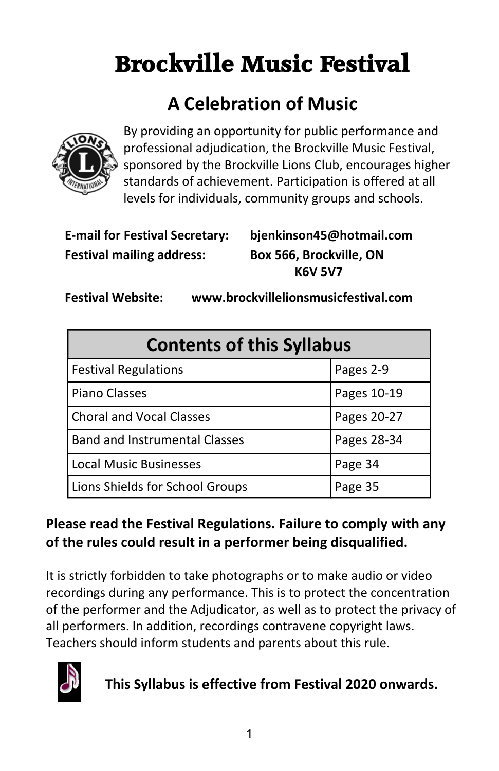# **Brockville Music Festival**

## **A Celebration of Music**



By providing an opportunity for public performance and professional adjudication, the Brockville Music Festival, sponsored by the Brockville Lions Club, encourages higher standards of achievement. Participation is offered at all levels for individuals, community groups and schools.

| <b>E-mail for Festival Secretary</b> |
|--------------------------------------|
| <b>Festival mailing address:</b>     |

 **E-mail for Festival Secretary: bjenkinson45@hotmail.com Box 566, Brockville, ON K6V 5V7**

 **Festival Website: www.brockvillelionsmusicfestival.com**

| <b>Contents of this Syllabus</b>     |             |  |  |
|--------------------------------------|-------------|--|--|
| <b>Festival Regulations</b>          | Pages 2-9   |  |  |
| <b>Piano Classes</b>                 | Pages 10-19 |  |  |
| <b>Choral and Vocal Classes</b>      | Pages 20-27 |  |  |
| <b>Band and Instrumental Classes</b> | Pages 28-34 |  |  |
| <b>Local Music Businesses</b>        | Page 34     |  |  |
| Lions Shields for School Groups      | Page 35     |  |  |

## **Please read the Festival Regulations. Failure to comply with any of the rules could result in a performer being disqualified.**

It is strictly forbidden to take photographs or to make audio or video recordings during any performance. This is to protect the concentration of the performer and the Adjudicator, as well as to protect the privacy of all performers. In addition, recordings contravene copyright laws. Teachers should inform students and parents about this rule.



**This Syllabus is effective from Festival 2020 onwards.**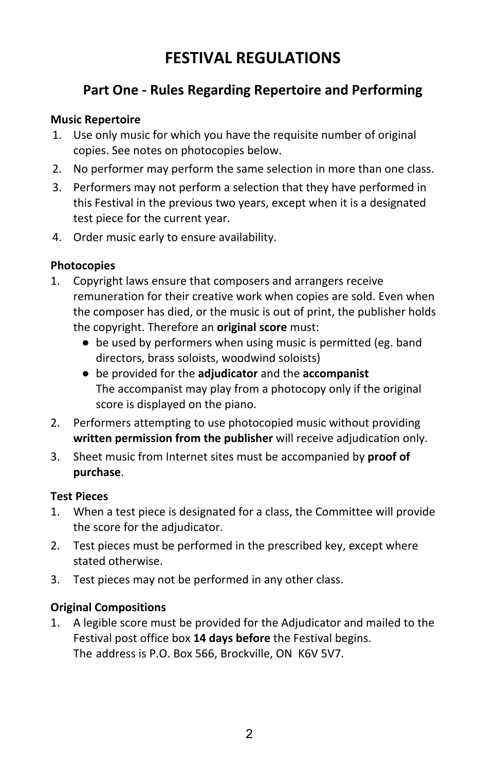## **Part One - Rules Regarding Repertoire and Performing**

#### **Music Repertoire**

- 1. Use only music for which you have the requisite number of original copies. See notes on photocopies below.
- 2. No performer may perform the same selection in more than one class.
- 3. Performers may not perform a selection that they have performed in this Festival in the previous two years, except when it is a designated test piece for the current year.
- 4. Order music early to ensure availability.

#### **Photocopies**

- 1. Copyright laws ensure that composers and arrangers receive remuneration for their creative work when copies are sold. Even when the composer has died, or the music is out of print, the publisher holds the copyright. Therefore an **original score** must:
	- be used by performers when using music is permitted (eg. band directors, brass soloists, woodwind soloists)
	- **●** be provided for the **adjudicator** and the **accompanist** The accompanist may play from a photocopy only if the original score is displayed on the piano.
- 2. Performers attempting to use photocopied music without providing  **written permission from the publisher** will receive adjudication only.
- 3. Sheet music from Internet sites must be accompanied by **proof of purchase**.

#### **Test Pieces**

- 1. When a test piece is designated for a class, the Committee will provide the score for the adjudicator.
- 2. Test pieces must be performed in the prescribed key, except where stated otherwise.
- 3. Test pieces may not be performed in any other class.

#### **Original Compositions**

1. A legible score must be provided for the Adjudicator and mailed to the Festival post office box **14 days before** the Festival begins. The address is P.O. Box 566, Brockville, ON K6V 5V7.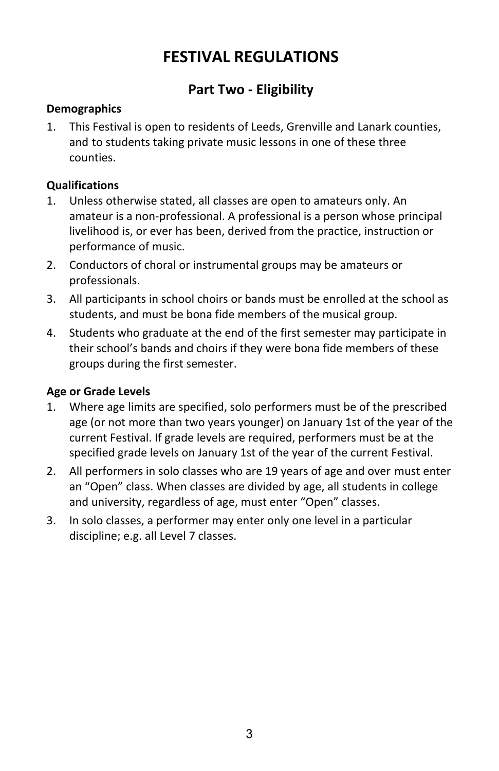## **Part Two - Eligibility**

#### **Demographics**

1. This Festival is open to residents of Leeds, Grenville and Lanark counties, and to students taking private music lessons in one of these three counties.

#### **Qualifications**

- 1. Unless otherwise stated, all classes are open to amateurs only. An amateur is a non-professional. A professional is a person whose principal livelihood is, or ever has been, derived from the practice, instruction or performance of music.
- 2. Conductors of choral or instrumental groups may be amateurs or professionals.
- 3. All participants in school choirs or bands must be enrolled at the school as students, and must be bona fide members of the musical group.
- 4. Students who graduate at the end of the first semester may participate in their school's bands and choirs if they were bona fide members of these groups during the first semester.

#### **Age or Grade Levels**

- 1. Where age limits are specified, solo performers must be of the prescribed age (or not more than two years younger) on January 1st of the year of the current Festival. If grade levels are required, performers must be at the specified grade levels on January 1st of the year of the current Festival.
- 2. All performers in solo classes who are 19 years of age and over must enter an "Open" class. When classes are divided by age, all students in college and university, regardless of age, must enter "Open" classes.
- 3. In solo classes, a performer may enter only one level in a particular discipline; e.g. all Level 7 classes.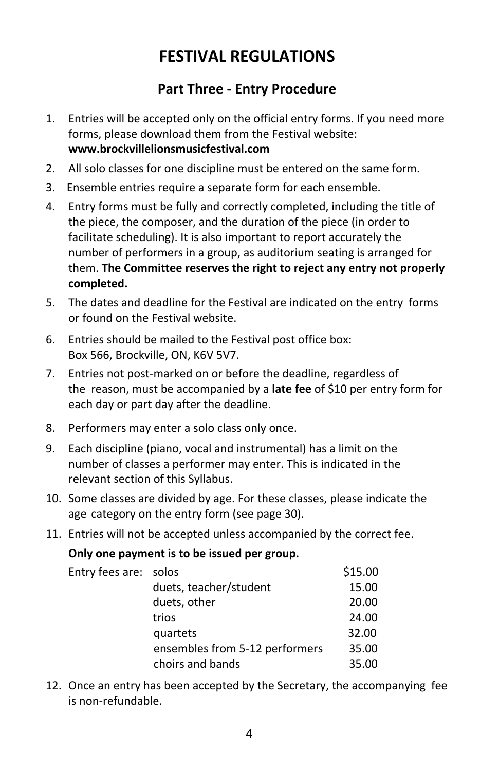## **Part Three - Entry Procedure**

- 1. Entries will be accepted only on the official entry forms. If you need more forms, please download them from the Festival website: **www.brockvillelionsmusicfestival.com**
- 2. All solo classes for one discipline must be entered on the same form.
- 3. Ensemble entries require a separate form for each ensemble.
- 4. Entry forms must be fully and correctly completed, including the title of the piece, the composer, and the duration of the piece (in order to facilitate scheduling). It is also important to report accurately the number of performers in a group, as auditorium seating is arranged for them. **The Committee reserves the right to reject any entry not properly completed.**
- 5. The dates and deadline for the Festival are indicated on the entry forms or found on the Festival website.
- 6. Entries should be mailed to the Festival post office box: Box 566, Brockville, ON, K6V 5V7.
- 7. Entries not post-marked on or before the deadline, regardless of the reason, must be accompanied by a **late fee** of \$10 per entry form for each day or part day after the deadline.
- 8. Performers may enter a solo class only once.
- 9. Each discipline (piano, vocal and instrumental) has a limit on the number of classes a performer may enter. This is indicated in the relevant section of this Syllabus.
- 10. Some classes are divided by age. For these classes, please indicate the age category on the entry form (see page 30).
- 11. Entries will not be accepted unless accompanied by the correct fee.

#### **Only one payment is to be issued per group.**

| Entry fees are: solos |                                | \$15.00 |
|-----------------------|--------------------------------|---------|
|                       | duets, teacher/student         | 15.00   |
|                       | duets, other                   | 20.00   |
|                       | trios                          | 24.00   |
|                       | quartets                       | 32.00   |
|                       | ensembles from 5-12 performers | 35.00   |
|                       | choirs and bands               | 35.00   |

12. Once an entry has been accepted by the Secretary, the accompanying fee is non-refundable.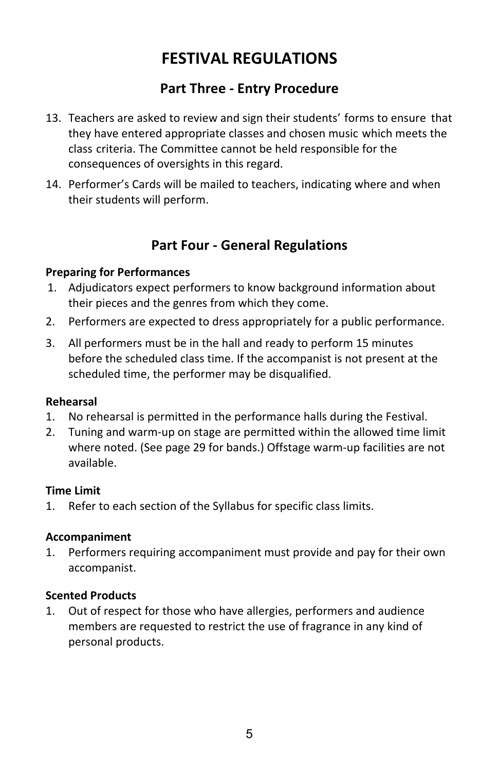### **Part Three - Entry Procedure**

- 13. Teachers are asked to review and sign their students' forms to ensure that they have entered appropriate classes and chosen music which meets the class criteria. The Committee cannot be held responsible for the consequences of oversights in this regard.
- 14. Performer's Cards will be mailed to teachers, indicating where and when their students will perform.

### **Part Four - General Regulations**

#### **Preparing for Performances**

- 1. Adjudicators expect performers to know background information about their pieces and the genres from which they come.
- 2. Performers are expected to dress appropriately for a public performance.
- 3. All performers must be in the hall and ready to perform 15 minutes before the scheduled class time. If the accompanist is not present at the scheduled time, the performer may be disqualified.

#### **Rehearsal**

- 1. No rehearsal is permitted in the performance halls during the Festival.
- 2. Tuning and warm-up on stage are permitted within the allowed time limit where noted. (See page 29 for bands.) Offstage warm-up facilities are not available.

#### **Time Limit**

1. Refer to each section of the Syllabus for specific class limits.

#### **Accompaniment**

1. Performers requiring accompaniment must provide and pay for their own accompanist.

#### **Scented Products**

1. Out of respect for those who have allergies, performers and audience members are requested to restrict the use of fragrance in any kind of personal products.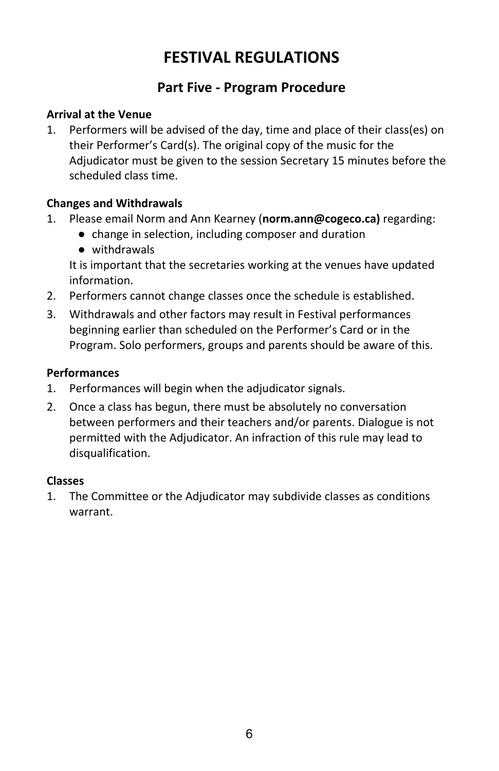### **Part Five - Program Procedure**

#### **Arrival at the Venue**

1. Performers will be advised of the day, time and place of their class(es) on their Performer's Card(s). The original copy of the music for the Adjudicator must be given to the session Secretary 15 minutes before the scheduled class time.

#### **Changes and Withdrawals**

- 1. Please email Norm and Ann Kearney (**norm.ann@cogeco.ca)** regarding:
	- change in selection, including composer and duration
	- withdrawals

It is important that the secretaries working at the venues have updated information.

- 2. Performers cannot change classes once the schedule is established.
- 3. Withdrawals and other factors may result in Festival performances beginning earlier than scheduled on the Performer's Card or in the Program. Solo performers, groups and parents should be aware of this.

#### **Performances**

- 1. Performances will begin when the adjudicator signals.
- 2. Once a class has begun, there must be absolutely no conversation between performers and their teachers and/or parents. Dialogue is not permitted with the Adjudicator. An infraction of this rule may lead to disqualification.

#### **Classes**

1. The Committee or the Adjudicator may subdivide classes as conditions warrant.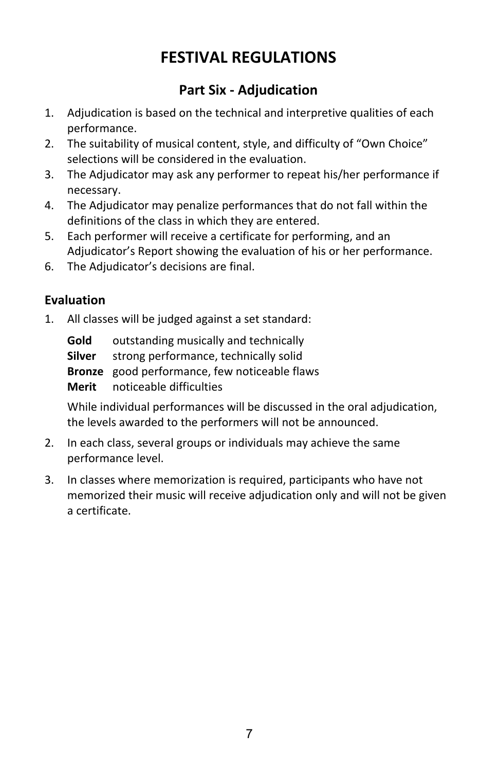## **Part Six - Adjudication**

- 1. Adjudication is based on the technical and interpretive qualities of each performance.
- 2. The suitability of musical content, style, and difficulty of "Own Choice" selections will be considered in the evaluation.
- 3. The Adjudicator may ask any performer to repeat his/her performance if necessary.
- 4. The Adjudicator may penalize performances that do not fall within the definitions of the class in which they are entered.
- 5. Each performer will receive a certificate for performing, and an Adjudicator's Report showing the evaluation of his or her performance.
- 6. The Adjudicator's decisions are final.

### **Evaluation**

1. All classes will be judged against a set standard:

**Gold** outstanding musically and technically **Silver** strong performance, technically solid **Bronze** good performance, few noticeable flaws **Merit** noticeable difficulties

While individual performances will be discussed in the oral adjudication, the levels awarded to the performers will not be announced.

- 2. In each class, several groups or individuals may achieve the same performance level.
- 3. In classes where memorization is required, participants who have not memorized their music will receive adjudication only and will not be given a certificate.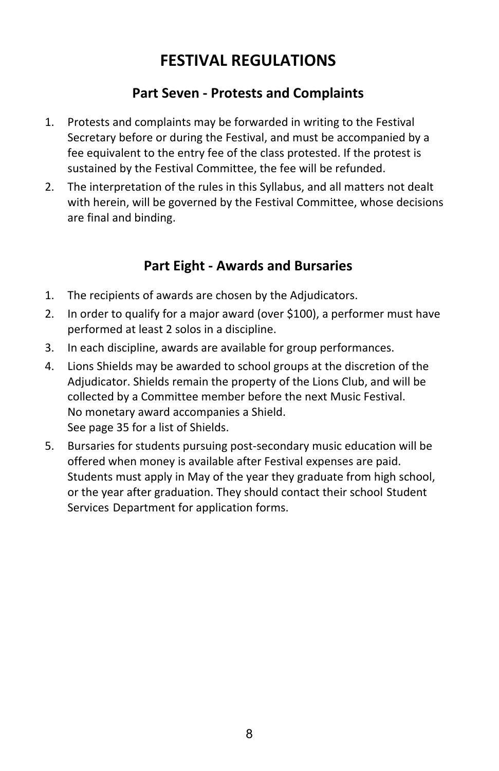## **Part Seven - Protests and Complaints**

- 1. Protests and complaints may be forwarded in writing to the Festival Secretary before or during the Festival, and must be accompanied by a fee equivalent to the entry fee of the class protested. If the protest is sustained by the Festival Committee, the fee will be refunded.
- 2. The interpretation of the rules in this Syllabus, and all matters not dealt with herein, will be governed by the Festival Committee, whose decisions are final and binding.

### **Part Eight - Awards and Bursaries**

- 1. The recipients of awards are chosen by the Adjudicators.
- 2. In order to qualify for a major award (over \$100), a performer must have performed at least 2 solos in a discipline.
- 3. In each discipline, awards are available for group performances.
- 4. Lions Shields may be awarded to school groups at the discretion of the Adjudicator. Shields remain the property of the Lions Club, and will be collected by a Committee member before the next Music Festival. No monetary award accompanies a Shield. See page 35 for a list of Shields.
- 5. Bursaries for students pursuing post-secondary music education will be offered when money is available after Festival expenses are paid. Students must apply in May of the year they graduate from high school, or the year after graduation. They should contact their school Student Services Department for application forms.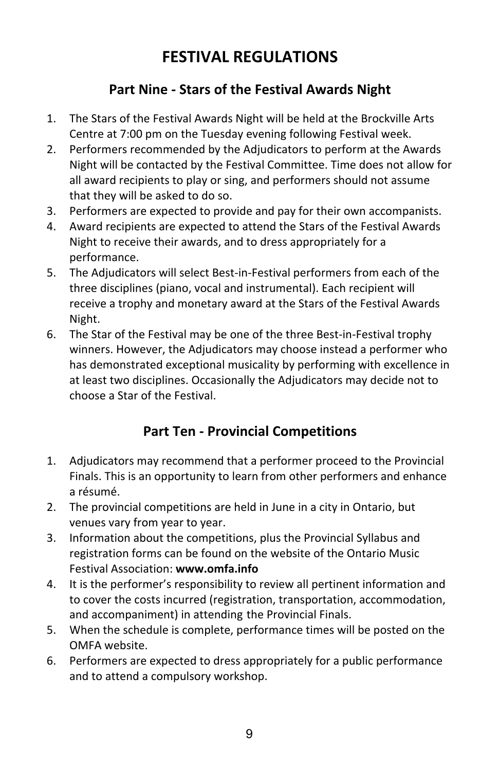## **Part Nine - Stars of the Festival Awards Night**

- 1. The Stars of the Festival Awards Night will be held at the Brockville Arts Centre at 7:00 pm on the Tuesday evening following Festival week.
- 2. Performers recommended by the Adjudicators to perform at the Awards Night will be contacted by the Festival Committee. Time does not allow for all award recipients to play or sing, and performers should not assume that they will be asked to do so.
- 3. Performers are expected to provide and pay for their own accompanists.
- 4. Award recipients are expected to attend the Stars of the Festival Awards Night to receive their awards, and to dress appropriately for a performance.
- 5. The Adjudicators will select Best-in-Festival performers from each of the three disciplines (piano, vocal and instrumental). Each recipient will receive a trophy and monetary award at the Stars of the Festival Awards Night.
- 6. The Star of the Festival may be one of the three Best-in-Festival trophy winners. However, the Adjudicators may choose instead a performer who has demonstrated exceptional musicality by performing with excellence in at least two disciplines. Occasionally the Adjudicators may decide not to choose a Star of the Festival.

## **Part Ten - Provincial Competitions**

- 1. Adjudicators may recommend that a performer proceed to the Provincial Finals. This is an opportunity to learn from other performers and enhance a résumé.
- 2. The provincial competitions are held in June in a city in Ontario, but venues vary from year to year.
- 3. Information about the competitions, plus the Provincial Syllabus and registration forms can be found on the website of the Ontario Music Festival Association: **www.omfa.info**
- 4. It is the performer's responsibility to review all pertinent information and to cover the costs incurred (registration, transportation, accommodation, and accompaniment) in attending the Provincial Finals.
- 5. When the schedule is complete, performance times will be posted on the OMFA website.
- 6. Performers are expected to dress appropriately for a public performance and to attend a compulsory workshop.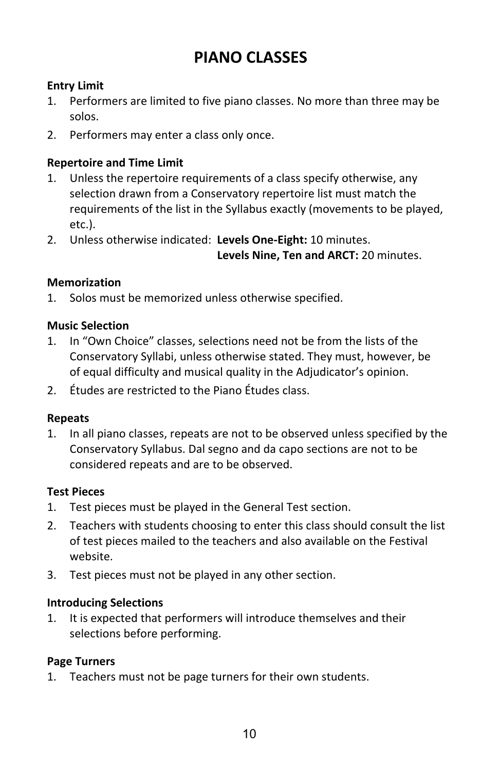## **PIANO CLASSES**

#### **Entry Limit**

- 1. Performers are limited to five piano classes. No more than three may be solos.
- 2. Performers may enter a class only once.

#### **Repertoire and Time Limit**

- 1. Unless the repertoire requirements of a class specify otherwise, any selection drawn from a Conservatory repertoire list must match the requirements of the list in the Syllabus exactly (movements to be played, etc.).
- 2. Unless otherwise indicated: **Levels One-Eight:** 10 minutes.

**Levels Nine, Ten and ARCT:** 20 minutes.

#### **Memorization**

1. Solos must be memorized unless otherwise specified.

#### **Music Selection**

- 1. In "Own Choice" classes, selections need not be from the lists of the Conservatory Syllabi, unless otherwise stated. They must, however, be of equal difficulty and musical quality in the Adjudicator's opinion.
- 2. Études are restricted to the Piano Études class.

#### **Repeats**

1. In all piano classes, repeats are not to be observed unless specified by the Conservatory Syllabus. Dal segno and da capo sections are not to be considered repeats and are to be observed.

#### **Test Pieces**

- 1. Test pieces must be played in the General Test section.
- 2. Teachers with students choosing to enter this class should consult the list of test pieces mailed to the teachers and also available on the Festival website.
- 3. Test pieces must not be played in any other section.

#### **Introducing Selections**

1. It is expected that performers will introduce themselves and their selections before performing.

#### **Page Turners**

1. Teachers must not be page turners for their own students.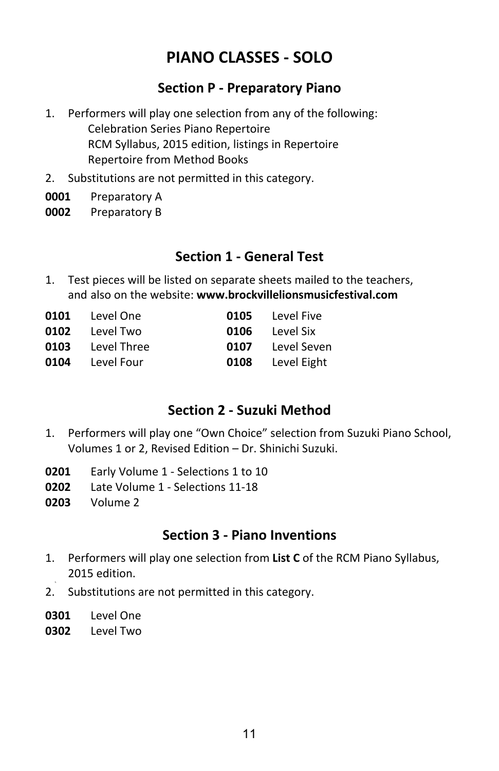### **Section P - Preparatory Piano**

- 1. Performers will play one selection from any of the following: Celebration Series Piano Repertoire RCM Syllabus, 2015 edition, listings in Repertoire Repertoire from Method Books
- 2. Substitutions are not permitted in this category.
- **0001** Preparatory A
- **0002** Preparatory B

### **Section 1 - General Test**

1. Test pieces will be listed on separate sheets mailed to the teachers, and also on the website: **www.brockvillelionsmusicfestival.com**

| 0101 Level One          |      | <b>0105</b> Level Five |
|-------------------------|------|------------------------|
| 0102 Level Two          | 0106 | Level Six              |
| <b>0103</b> Level Three | 0107 | Level Seven            |
| 0104 Level Four         | 0108 | Level Eight            |

### **Section 2 - Suzuki Method**

- 1. Performers will play one "Own Choice" selection from Suzuki Piano School, Volumes 1 or 2, Revised Edition – Dr. Shinichi Suzuki.
- **0201** Early Volume 1 Selections 1 to 10
- **0202** Late Volume 1 Selections 11-18
- **0203** Volume 2

### **Section 3 - Piano Inventions**

- 1. Performers will play one selection from **List C** of the RCM Piano Syllabus, 2015 edition.
- 2. Substitutions are not permitted in this category.
- **0301** Level One
- **0302** Level Two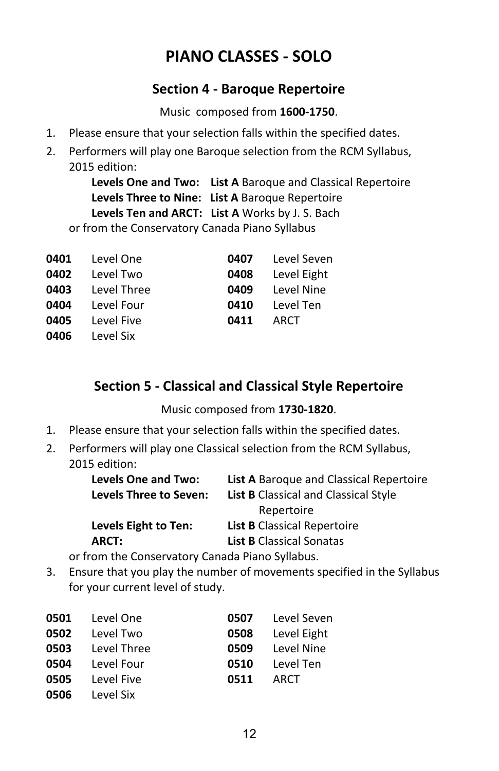### **Section 4 - Baroque Repertoire**

Music composed from **1600-1750**.

- 1. Please ensure that your selection falls within the specified dates.
- 2. Performers will play one Baroque selection from the RCM Syllabus, 2015 edition:

**Levels One and Two: List A** Baroque and Classical Repertoire **Levels Three to Nine: List A** Baroque Repertoire **Levels Ten and ARCT: List A** Works by J. S. Bach or from the Conservatory Canada Piano Syllabus

|      | 0401 Level One   |      | <b>0407</b> Level Seven |
|------|------------------|------|-------------------------|
|      | 0402 Level Two   | 0408 | Level Eight             |
|      | 0403 Level Three | 0409 | Level Nine              |
|      | 0404 Level Four  |      | 0410 Level Ten          |
|      | 0405 Level Five  | 0411 | ARCT                    |
| 0406 | Level Six        |      |                         |

### **Section 5 - Classical and Classical Style Repertoire**

Music composed from **1730-1820**.

- 1. Please ensure that your selection falls within the specified dates.
- 2. Performers will play one Classical selection from the RCM Syllabus, 2015 edition:

| Levels One and Two:           | <b>List A</b> Baroque and Classical Repertoire |
|-------------------------------|------------------------------------------------|
| <b>Levels Three to Seven:</b> | <b>List B</b> Classical and Classical Style    |
|                               | Repertoire                                     |
| Levels Eight to Ten:          | <b>List B</b> Classical Repertoire             |
| ARCT:                         | <b>List B Classical Sonatas</b>                |
|                               |                                                |

or from the Conservatory Canada Piano Syllabus.

3. Ensure that you play the number of movements specified in the Syllabus for your current level of study.

|                                                                                                                                     | 0507 Level Seven      |
|-------------------------------------------------------------------------------------------------------------------------------------|-----------------------|
|                                                                                                                                     | 0508 Level Eight      |
|                                                                                                                                     | 0509 Level Nine       |
|                                                                                                                                     | <b>0510</b> Level Ten |
| 0511                                                                                                                                | ARCT                  |
|                                                                                                                                     |                       |
| <b>0501</b> Level One<br>0502 Level Two<br><b>0503</b> Level Three<br><b>0504</b> Level Four<br><b>0505</b> Level Five<br>Level Six |                       |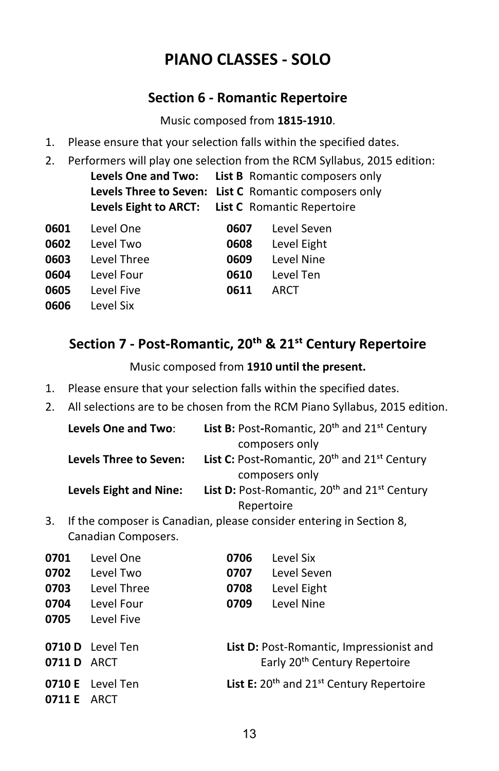### **Section 6 - Romantic Repertoire**

Music composed from **1815-1910**.

- 1. Please ensure that your selection falls within the specified dates.
- 2. Performers will play one selection from the RCM Syllabus, 2015 edition:

**Levels One and Two: List B** Romantic composers only **Levels Three to Seven: List C** Romantic composers only **Levels Eight to ARCT: List C** Romantic Repertoire

| 0601 Level One         |                  | 0607 Level Seven      |
|------------------------|------------------|-----------------------|
| 0602 Level Two         | 0608             | Level Eight           |
| 0603 Level Three       |                  | 0609 Level Nine       |
| 0604 Level Four        |                  | <b>0610</b> Level Ten |
| <b>0605</b> Level Five | <b>0611 ARCT</b> |                       |
| <b>0606</b> Level Six  |                  |                       |

## **Section 7 - Post-Romantic, 20�� & 21�� Century Repertoire**

Music composed from **1910 until the present.**

- 1. Please ensure that your selection falls within the specified dates.
- 2. All selections are to be chosen from the RCM Piano Syllabus, 2015 edition.

| Levels One and Two:           | List B: Post-Romantic, 20 <sup>th</sup> and 21 <sup>st</sup> Century |
|-------------------------------|----------------------------------------------------------------------|
|                               | composers only                                                       |
| <b>Levels Three to Seven:</b> | List C: Post-Romantic, 20 <sup>th</sup> and 21 <sup>st</sup> Century |
|                               | composers only                                                       |
| <b>Levels Eight and Nine:</b> | List D: Post-Romantic, 20 <sup>th</sup> and 21 <sup>st</sup> Century |
|                               | Repertoire                                                           |

3. If the composer is Canadian, please consider entering in Section 8, Canadian Composers.

| 0701               | Level One               | 0706 | Level Six                                           |
|--------------------|-------------------------|------|-----------------------------------------------------|
| 0702               | Level Two               | 0707 | Level Seven                                         |
| 0703               | Level Three             | 0708 | Level Eight                                         |
| 0704               | Level Four              | 0709 | Level Nine                                          |
| 0705               | Level Five              |      |                                                     |
|                    |                         |      |                                                     |
|                    | 0710 D Level Ten        |      | <b>List D:</b> Post-Romantic, Impressionist and     |
| <b>0711 D</b> ARCT |                         |      | Early 20 <sup>th</sup> Century Repertoire           |
|                    | <b>0710 E</b> Level Ten |      | <b>List E:</b> $20th$ and $21st$ Century Repertoire |
| 0711 E             | ARCT                    |      |                                                     |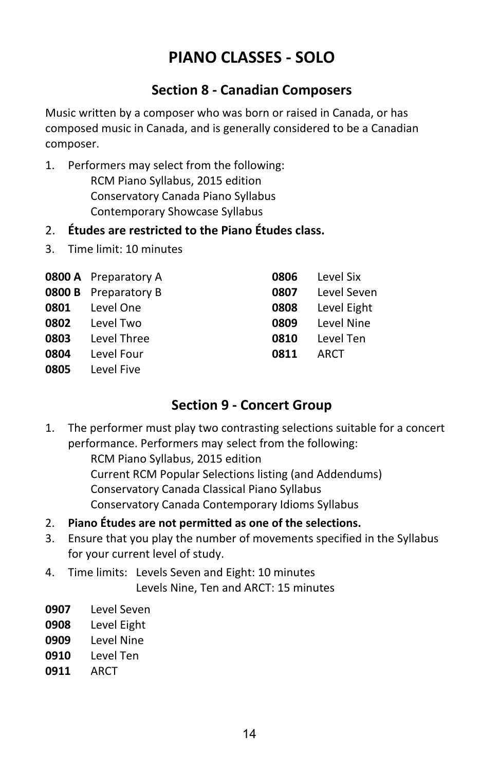### **Section 8 - Canadian Composers**

Music written by a composer who was born or raised in Canada, or has composed music in Canada, and is generally considered to be a Canadian composer.

- 1. Performers may select from the following: RCM Piano Syllabus, 2015 edition Conservatory Canada Piano Syllabus Contemporary Showcase Syllabus
- 2. **Études are restricted to the Piano Études class.**
- 3. Time limit: 10 minutes

|      | <b>0800 A</b> Preparatory A | 0806 | Level Six   |
|------|-----------------------------|------|-------------|
|      | <b>0800 B</b> Preparatory B | 0807 | Level Seven |
| 0801 | Level One                   | 0808 | Level Eight |
| 0802 | Level Two                   | 0809 | Level Nine  |
| 0803 | Level Three                 | 0810 | Level Ten   |
| 0804 | Level Four                  | 0811 | ARCT        |
| 0805 | Level Five                  |      |             |

### **Section 9 - Concert Group**

1. The performer must play two contrasting selections suitable for a concert performance. Performers may select from the following:

> RCM Piano Syllabus, 2015 edition Current RCM Popular Selections listing (and Addendums) Conservatory Canada Classical Piano Syllabus Conservatory Canada Contemporary Idioms Syllabus

- 2. **Piano Études are not permitted as one of the selections.**
- 3. Ensure that you play the number of movements specified in the Syllabus for your current level of study.
- 4. Time limits: Levels Seven and Eight: 10 minutes Levels Nine, Ten and ARCT: 15 minutes
- **0907** Level Seven
- **0908** Level Eight
- **0909** Level Nine
- **0910** Level Ten
- **0911** ARCT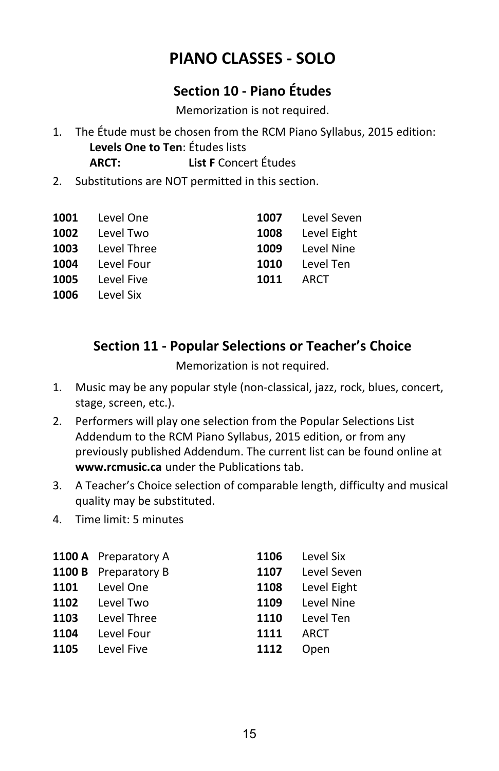### **Section 10 - Piano Études**

Memorization is not required.

- 1. The Étude must be chosen from the RCM Piano Syllabus, 2015 edition: **Levels One to Ten**: Études lists **ARCT: List F** Concert Études
- 2. Substitutions are NOT permitted in this section.

|      | 1001 Level One   |      | 1007 Level Seven |
|------|------------------|------|------------------|
|      | 1002 Level Two   |      | 1008 Level Eight |
|      | 1003 Level Three |      | 1009 Level Nine  |
|      | 1004 Level Four  |      | 1010 Level Ten   |
| 1005 | Level Five       | 1011 | ARCT             |
| 1006 | Level Six        |      |                  |

### **Section 11 - Popular Selections or Teacher's Choice**

Memorization is not required.

- 1. Music may be any popular style (non-classical, jazz, rock, blues, concert, stage, screen, etc.).
- 2. Performers will play one selection from the Popular Selections List Addendum to the RCM Piano Syllabus, 2015 edition, or from any previously published Addendum. The current list can be found online at **www.rcmusic.ca** under the Publications tab.
- 3. A Teacher's Choice selection of comparable length, difficulty and musical quality may be substituted.
- 4. Time limit: 5 minutes

|      | <b>1100 A</b> Preparatory A | 1106 | Level Six   |
|------|-----------------------------|------|-------------|
|      | 1100 B Preparatory B        | 1107 | Level Seven |
| 1101 | Level One                   | 1108 | Level Eight |
| 1102 | Level Two                   | 1109 | Level Nine  |
| 1103 | Level Three                 | 1110 | Level Ten   |
| 1104 | Level Four                  | 1111 | ARCT        |
| 1105 | Level Five                  | 1112 | Open        |
|      |                             |      |             |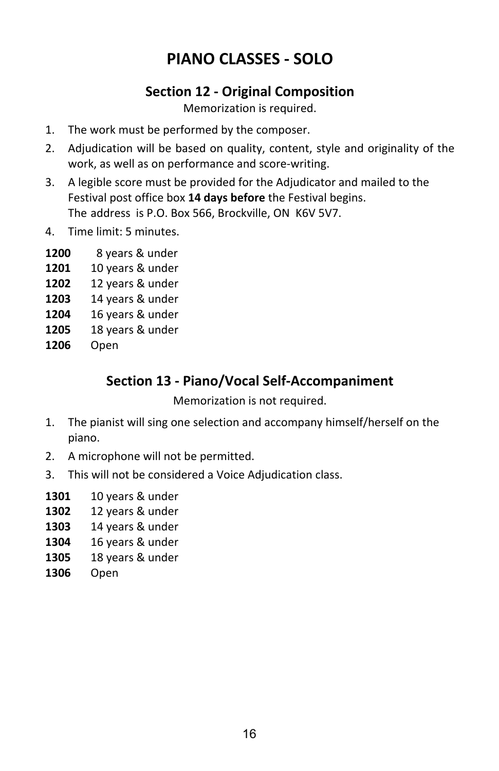### **Section 12 - Original Composition**

Memorization is required.

- 1. The work must be performed by the composer.
- 2. Adjudication will be based on quality, content, style and originality of the work, as well as on performance and score-writing.
- 3. A legible score must be provided for the Adjudicator and mailed to the Festival post office box **14 days before** the Festival begins. The address is P.O. Box 566, Brockville, ON K6V 5V7.
- 4. Time limit: 5 minutes.
- **1200** 8 years & under
- **1201** 10 years & under
- **1202** 12 years & under
- **1203** 14 years & under
- **1204** 16 years & under
- **1205** 18 years & under
- **1206** Open

### **Section 13 - Piano/Vocal Self-Accompaniment**

Memorization is not required.

- 1. The pianist will sing one selection and accompany himself/herself on the piano.
- 2. A microphone will not be permitted.
- 3. This will not be considered a Voice Adjudication class.
- **1301** 10 years & under
- **1302** 12 years & under
- **1303** 14 years & under
- **1304** 16 years & under
- **1305** 18 years & under
- **1306** Open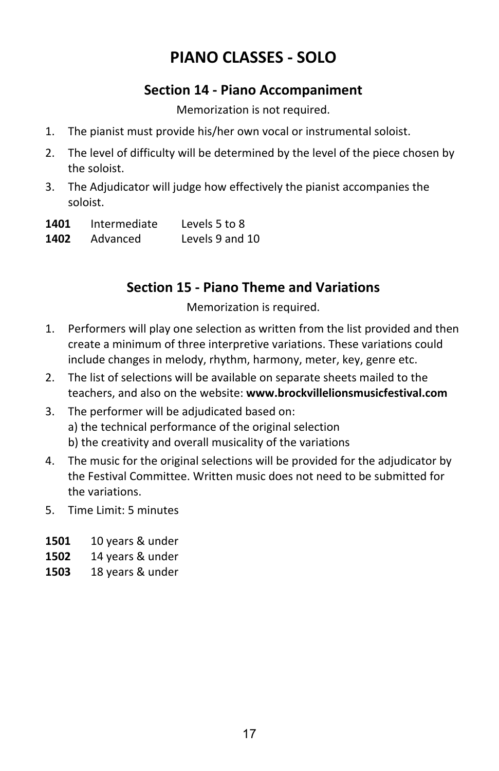### **Section 14 - Piano Accompaniment**

Memorization is not required.

- 1. The pianist must provide his/her own vocal or instrumental soloist.
- 2. The level of difficulty will be determined by the level of the piece chosen by the soloist.
- 3. The Adjudicator will judge how effectively the pianist accompanies the soloist.

| 1401 | Intermediate | Levels 5 to 8   |
|------|--------------|-----------------|
| 1402 | Advanced     | Levels 9 and 10 |

### **Section 15 - Piano Theme and Variations**

Memorization is required.

- 1. Performers will play one selection as written from the list provided and then create a minimum of three interpretive variations. These variations could include changes in melody, rhythm, harmony, meter, key, genre etc.
- 2. The list of selections will be available on separate sheets mailed to the teachers, and also on the website: **www.brockvillelionsmusicfestival.com**
- 3. The performer will be adjudicated based on: a) the technical performance of the original selection b) the creativity and overall musicality of the variations
- 4. The music for the original selections will be provided for the adjudicator by the Festival Committee. Written music does not need to be submitted for the variations.
- 5. Time Limit: 5 minutes
- **1501** 10 years & under
- **1502** 14 years & under
- **1503** 18 years & under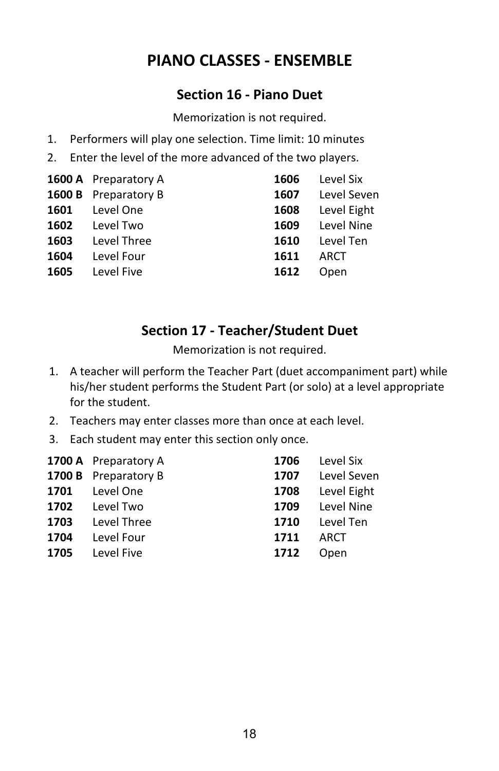## **PIANO CLASSES - ENSEMBLE**

### **Section 16 - Piano Duet**

Memorization is not required.

- 1. Performers will play one selection. Time limit: 10 minutes
- 2. Enter the level of the more advanced of the two players.

|      | <b>1600 A</b> Preparatory A | 1606 | Level Six   |
|------|-----------------------------|------|-------------|
|      | <b>1600 B</b> Preparatory B | 1607 | Level Seven |
| 1601 | Level One                   | 1608 | Level Eight |
| 1602 | Level Two                   | 1609 | Level Nine  |
| 1603 | Level Three                 | 1610 | Level Ten   |
| 1604 | Level Four                  | 1611 | ARCT        |
| 1605 | Level Five                  | 1612 | Open        |
|      |                             |      |             |

### **Section 17 - Teacher/Student Duet**

Memorization is not required.

- 1. A teacher will perform the Teacher Part (duet accompaniment part) while his/her student performs the Student Part (or solo) at a level appropriate for the student.
- 2. Teachers may enter classes more than once at each level.
- 3. Each student may enter this section only once.

|      | <b>1700 A</b> Preparatory A | 1706 | Level Six   |
|------|-----------------------------|------|-------------|
|      | 1700 B Preparatory B        | 1707 | Level Seven |
| 1701 | Level One                   | 1708 | Level Eight |
|      | 1702 Level Two              | 1709 | Level Nine  |
| 1703 | Level Three                 | 1710 | Level Ten   |
| 1704 | Level Four                  | 1711 | ARCT        |
| 1705 | Level Five                  | 1712 | Open        |
|      |                             |      |             |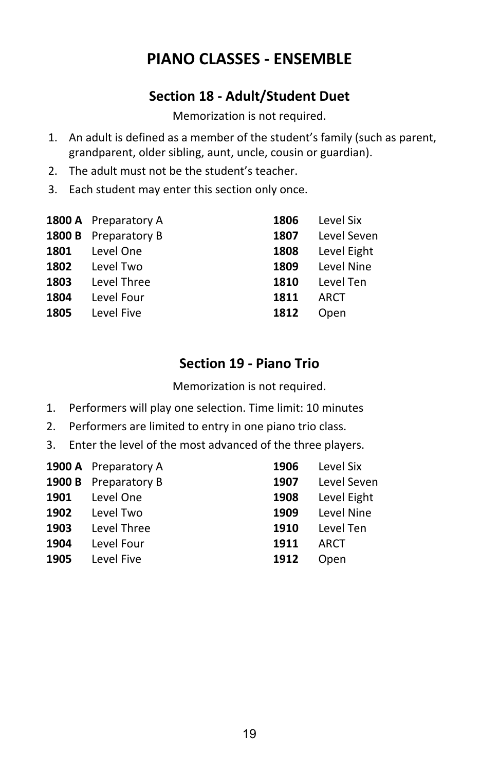## **PIANO CLASSES - ENSEMBLE**

## **Section 18 - Adult/Student Duet**

Memorization is not required.

- 1. An adult is defined as a member of the student's family (such as parent, grandparent, older sibling, aunt, uncle, cousin or guardian).
- 2. The adult must not be the student's teacher.
- 3. Each student may enter this section only once.

|      | <b>1800 A</b> Preparatory A | 1806 | Level Six   |
|------|-----------------------------|------|-------------|
|      | 1800 B Preparatory B        | 1807 | Level Seven |
| 1801 | Level One                   | 1808 | Level Eight |
| 1802 | Level Two                   | 1809 | Level Nine  |
| 1803 | Level Three                 | 1810 | Level Ten   |
| 1804 | Level Four                  | 1811 | ARCT        |
| 1805 | Level Five                  | 1812 | Open        |
|      |                             |      |             |

## **Section 19 - Piano Trio**

Memorization is not required.

- 1. Performers will play one selection. Time limit: 10 minutes
- 2. Performers are limited to entry in one piano trio class.
- 3. Enter the level of the most advanced of the three players.

|      | <b>1900 A</b> Preparatory A | 1906 | Level Six   |
|------|-----------------------------|------|-------------|
|      | <b>1900 B</b> Preparatory B | 1907 | Level Seven |
| 1901 | Level One                   | 1908 | Level Eight |
| 1902 | Level Two                   | 1909 | Level Nine  |
| 1903 | Level Three                 | 1910 | Level Ten   |
| 1904 | Level Four                  | 1911 | ARCT        |
| 1905 | Level Five                  | 1912 | Open        |
|      |                             |      |             |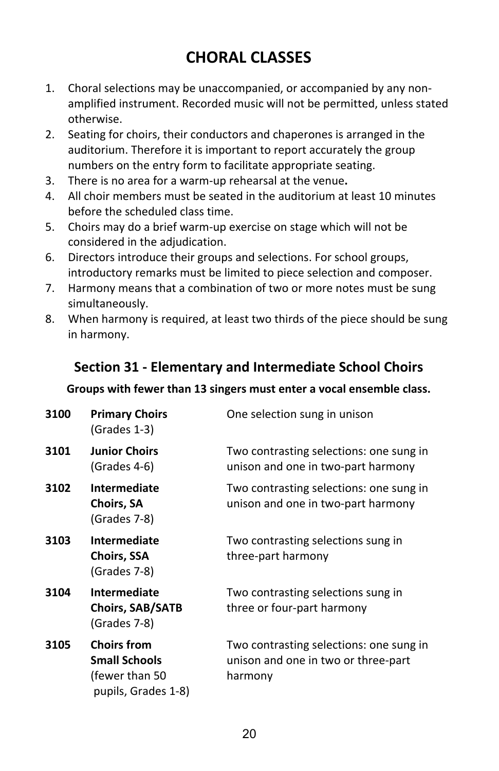## **CHORAL CLASSES**

- 1. Choral selections may be unaccompanied, or accompanied by any non amplified instrument. Recorded music will not be permitted, unless stated otherwise.
- 2. Seating for choirs, their conductors and chaperones is arranged in the auditorium. Therefore it is important to report accurately the group numbers on the entry form to facilitate appropriate seating.
- 3. There is no area for a warm-up rehearsal at the venue**.**
- 4. All choir members must be seated in the auditorium at least 10 minutes before the scheduled class time.
- 5. Choirs may do a brief warm-up exercise on stage which will not be considered in the adjudication.
- 6. Directors introduce their groups and selections. For school groups, introductory remarks must be limited to piece selection and composer.
- 7. Harmony means that a combination of two or more notes must be sung simultaneously.
- 8. When harmony is required, at least two thirds of the piece should be sung in harmony.

### **Section 31 - Elementary and Intermediate School Choirs**

#### **Groups with fewer than 13 singers must enter a vocal ensemble class.**

| 3100 | <b>Primary Choirs</b><br>(Grades 1-3)                                                | One selection sung in unison                                                              |
|------|--------------------------------------------------------------------------------------|-------------------------------------------------------------------------------------------|
| 3101 | <b>Junior Choirs</b><br>$(Grades 4-6)$                                               | Two contrasting selections: one sung in<br>unison and one in two-part harmony             |
| 3102 | Intermediate<br><b>Choirs, SA</b><br>(Grades 7-8)                                    | Two contrasting selections: one sung in<br>unison and one in two-part harmony             |
| 3103 | Intermediate<br><b>Choirs, SSA</b><br>(Grades 7-8)                                   | Two contrasting selections sung in<br>three-part harmony                                  |
| 3104 | Intermediate<br><b>Choirs, SAB/SATB</b><br>(Grades 7-8)                              | Two contrasting selections sung in<br>three or four-part harmony                          |
| 3105 | <b>Choirs from</b><br><b>Small Schools</b><br>(fewer than 50)<br>pupils, Grades 1-8) | Two contrasting selections: one sung in<br>unison and one in two or three-part<br>harmony |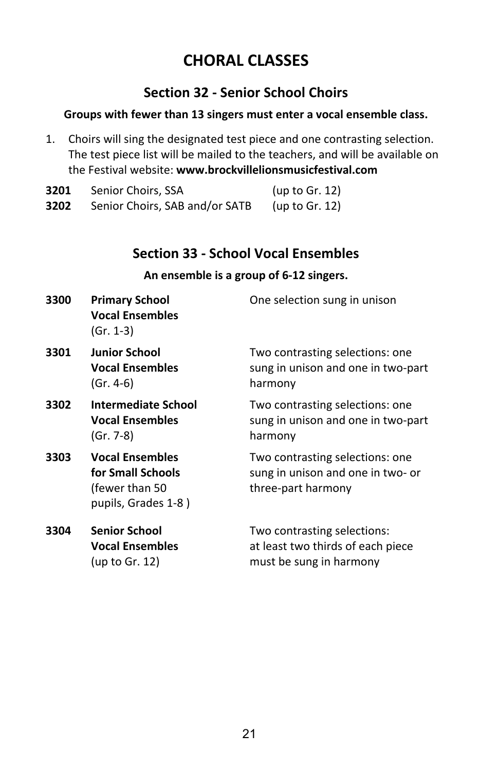## **CHORAL CLASSES**

## **Section 32 - Senior School Choirs**

#### **Groups with fewer than 13 singers must enter a vocal ensemble class.**

1. Choirs will sing the designated test piece and one contrasting selection. The test piece list will be mailed to the teachers, and will be available on the Festival website: **www.brockvillelionsmusicfestival.com**

| 3201 | Senior Choirs, SSA             | (up to Gr. 12) |
|------|--------------------------------|----------------|
| 3202 | Senior Choirs, SAB and/or SATB | (up to Gr. 12) |

### **Section 33 - School Vocal Ensembles**

#### **An ensemble is a group of 6-12 singers.**

| 3300 | <b>Primary School</b><br><b>Vocal Ensembles</b><br>(Gr. 1-3)                          | One selection sung in unison                                                                |
|------|---------------------------------------------------------------------------------------|---------------------------------------------------------------------------------------------|
| 3301 | <b>Junior School</b><br><b>Vocal Ensembles</b><br>(Gr. 4-6)                           | Two contrasting selections: one<br>sung in unison and one in two-part<br>harmony            |
| 3302 | Intermediate School<br><b>Vocal Ensembles</b><br>(Gr. 7-8)                            | Two contrasting selections: one<br>sung in unison and one in two-part<br>harmony            |
| 3303 | <b>Vocal Ensembles</b><br>for Small Schools<br>(fewer than 50)<br>pupils, Grades 1-8) | Two contrasting selections: one<br>sung in unison and one in two- or<br>three-part harmony  |
| 3304 | <b>Senior School</b><br><b>Vocal Ensembles</b><br>(up to Gr. 12)                      | Two contrasting selections:<br>at least two thirds of each piece<br>must be sung in harmony |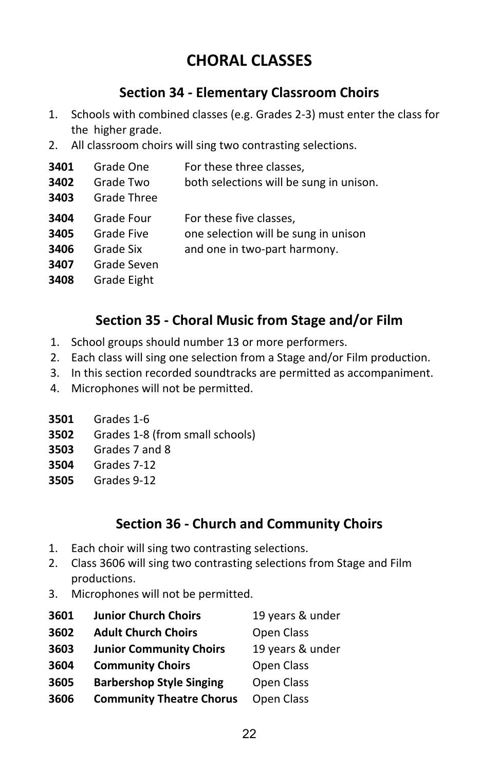## **CHORAL CLASSES**

## **Section 34 - Elementary Classroom Choirs**

- 1. Schools with combined classes (e.g. Grades 2-3) must enter the class for the higher grade.
- 2. All classroom choirs will sing two contrasting selections.

| 3401<br>3402<br>3403                 | Grade One<br>Grade Two<br>Grade Three                               | For these three classes,<br>both selections will be sung in unison.                             |
|--------------------------------------|---------------------------------------------------------------------|-------------------------------------------------------------------------------------------------|
| 3404<br>3405<br>3406<br>3407<br>3408 | Grade Four<br>Grade Five<br>Grade Six<br>Grade Seven<br>Grade Eight | For these five classes,<br>one selection will be sung in unison<br>and one in two-part harmony. |

## **Section 35 - Choral Music from Stage and/or Film**

- 1. School groups should number 13 or more performers.
- 2. Each class will sing one selection from a Stage and/or Film production.
- 3. In this section recorded soundtracks are permitted as accompaniment.
- 4. Microphones will not be permitted.
- **3501** Grades 1-6
- **3502** Grades 1-8 (from small schools)
- **3503** Grades 7 and 8
- **3504** Grades 7-12
- **3505** Grades 9-12

### **Section 36 - Church and Community Choirs**

- 1. Each choir will sing two contrasting selections.
- 2. Class 3606 will sing two contrasting selections from Stage and Film productions.
- 3. Microphones will not be permitted.

| 3601 | <b>Junior Church Choirs</b>     | 19 years & under |
|------|---------------------------------|------------------|
| 3602 | <b>Adult Church Choirs</b>      | Open Class       |
| 3603 | <b>Junior Community Choirs</b>  | 19 years & under |
| 3604 | <b>Community Choirs</b>         | Open Class       |
| 3605 | <b>Barbershop Style Singing</b> | Open Class       |
| 3606 | <b>Community Theatre Chorus</b> | Open Class       |
|      |                                 |                  |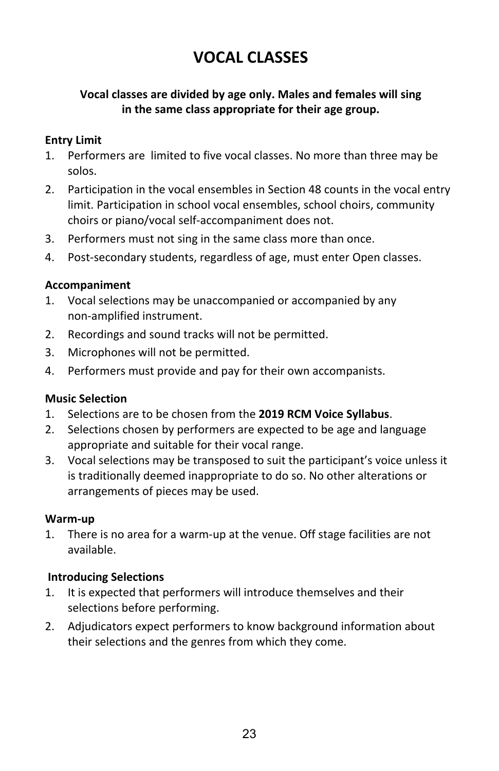#### **Vocal classes are divided by age only. Males and females will sing in the same class appropriate for their age group.**

#### **Entry Limit**

- 1. Performers are limited to five vocal classes. No more than three may be solos.
- 2. Participation in the vocal ensembles in Section 48 counts in the vocal entry limit. Participation in school vocal ensembles, school choirs, community choirs or piano/vocal self-accompaniment does not.
- 3. Performers must not sing in the same class more than once.
- 4. Post-secondary students, regardless of age, must enter Open classes.

#### **Accompaniment**

- 1. Vocal selections may be unaccompanied or accompanied by any non-amplified instrument.
- 2. Recordings and sound tracks will not be permitted.
- 3. Microphones will not be permitted.
- 4. Performers must provide and pay for their own accompanists.

#### **Music Selection**

- 1. Selections are to be chosen from the **2019 RCM Voice Syllabus**.
- 2. Selections chosen by performers are expected to be age and language appropriate and suitable for their vocal range.
- 3. Vocal selections may be transposed to suit the participant's voice unless it is traditionally deemed inappropriate to do so. No other alterations or arrangements of pieces may be used.

#### **Warm-up**

1. There is no area for a warm-up at the venue. Off stage facilities are not available.

#### **Introducing Selections**

- 1. It is expected that performers will introduce themselves and their selections before performing.
- 2. Adjudicators expect performers to know background information about their selections and the genres from which they come.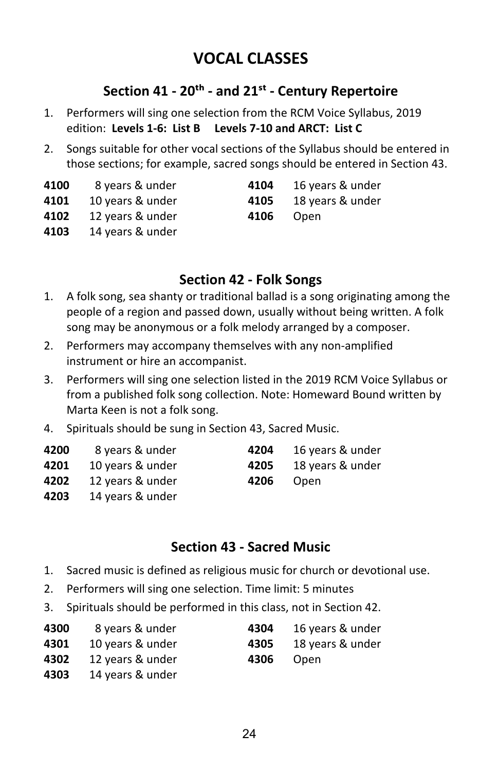### **Section 41 - 20�� - and 21�� - Century Repertoire**

- 1. Performers will sing one selection from the RCM Voice Syllabus, 2019 edition: **Levels 1-6: List B Levels 7-10 and ARCT: List C**
- 2. Songs suitable for other vocal sections of the Syllabus should be entered in those sections; for example, sacred songs should be entered in Section 43.

| 4100    | 8 years & under | 4104 | 16 years & under |  |
|---------|-----------------|------|------------------|--|
| - - - - |                 |      |                  |  |

- 
- **4101** 10 years & under **4105** 18 years & under
- **4102** 12 years & under **4106** Open
- **4103** 14 years & under

### **Section 42 - Folk Songs**

- 1. A folk song, sea shanty or traditional ballad is a song originating among the people of a region and passed down, usually without being written. A folk song may be anonymous or a folk melody arranged by a composer.
- 2. Performers may accompany themselves with any non-amplified instrument or hire an accompanist.
- 3. Performers will sing one selection listed in the 2019 RCM Voice Syllabus or from a published folk song collection. Note: Homeward Bound written by Marta Keen is not a folk song.
- 4. Spirituals should be sung in Section 43, Sacred Music.

| 4200         | 8 years & under              | 4204 | 16 years & under |
|--------------|------------------------------|------|------------------|
| 4201         | 10 years & under             | 4205 | 18 years & under |
|              | <b>4202</b> 12 years & under | 4206 | Open             |
| כחר <i>ו</i> | $11$ your $\Omega$ under     |      |                  |

**4203** 14 years & under

### **Section 43 - Sacred Music**

- 1. Sacred music is defined as religious music for church or devotional use.
- 2. Performers will sing one selection. Time limit: 5 minutes
- 3. Spirituals should be performed in this class, not in Section 42.

| 4300       | 8 years & under              | 4304 | 16 years & under |
|------------|------------------------------|------|------------------|
|            | <b>4301</b> 10 years & under | 4305 | 18 years & under |
|            | <b>4302</b> 12 years & under | 4306 | Open             |
| $\sqrt{2}$ | 44. 0.                       |      |                  |

**4303** 14 years & under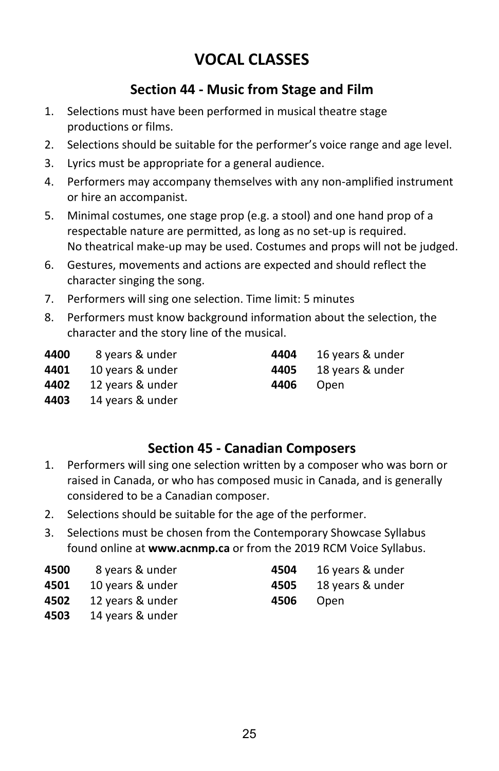### **Section 44 - Music from Stage and Film**

- 1. Selections must have been performed in musical theatre stage productions or films.
- 2. Selections should be suitable for the performer's voice range and age level.
- 3. Lyrics must be appropriate for a general audience.
- 4. Performers may accompany themselves with any non-amplified instrument or hire an accompanist.
- 5. Minimal costumes, one stage prop (e.g. a stool) and one hand prop of a respectable nature are permitted, as long as no set-up is required. No theatrical make-up may be used. Costumes and props will not be judged.
- 6. Gestures, movements and actions are expected and should reflect the character singing the song.
- 7. Performers will sing one selection. Time limit: 5 minutes
- 8. Performers must know background information about the selection, the character and the story line of the musical.

| 4400 | 8 years & under  | 4404 | 16 years & under |
|------|------------------|------|------------------|
| 4401 | 10 years & under | 4405 | 18 years & under |
| 4402 | 12 years & under | 4406 | Open             |
| 4403 | 14 years & under |      |                  |

### **Section 45 - Canadian Composers**

- 1. Performers will sing one selection written by a composer who was born or raised in Canada, or who has composed music in Canada, and is generally considered to be a Canadian composer.
- 2. Selections should be suitable for the age of the performer.
- 3. Selections must be chosen from the Contemporary Showcase Syllabus found online at **www.acnmp.ca** or from the 2019 RCM Voice Syllabus.

| 4500 | 8 years & under  |
|------|------------------|
| 4501 | 10 years & under |

- **4502** 12 years & under **4506** Open
- **4503** 14 years & under
- **4500** 8 years & under **4504** 16 years & under
- **4501** 10 years & under **4505** 18 years & under
	-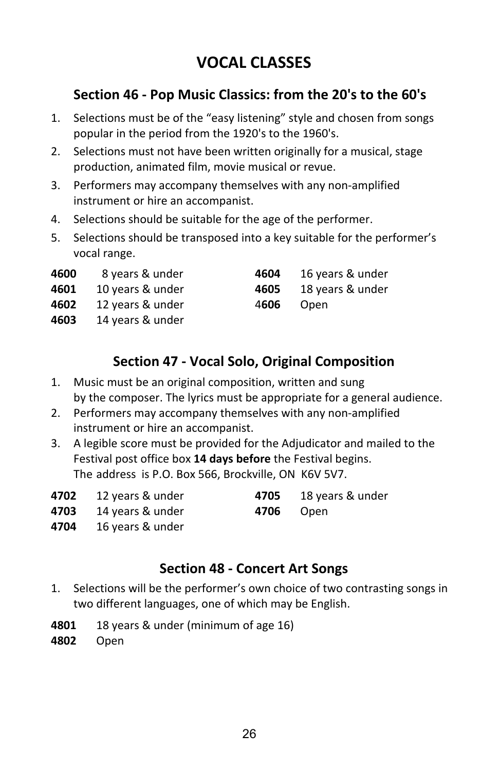## **Section 46 - Pop Music Classics: from the 20's to the 60's**

- 1. Selections must be of the "easy listening" style and chosen from songs popular in the period from the 1920's to the 1960's.
- 2. Selections must not have been written originally for a musical, stage production, animated film, movie musical or revue.
- 3. Performers may accompany themselves with any non-amplified instrument or hire an accompanist.
- 4. Selections should be suitable for the age of the performer.
- 5. Selections should be transposed into a key suitable for the performer's vocal range.
- **4600** 8 years & under **4600**
- **4601** 10 years & under **46**
- **4602** 12 years & under 4606 Ope
- **4603** 14 years & under

| 604 | 16 years & under |
|-----|------------------|
| 605 | 18 years & under |
| 606 | Onen             |

## **Section 47 - Vocal Solo, Original Composition**

- 1. Music must be an original composition, written and sung by the composer. The lyrics must be appropriate for a general audience.
- 2. Performers may accompany themselves with any non-amplified instrument or hire an accompanist.
- 3. A legible score must be provided for the Adjudicator and mailed to the Festival post office box **14 days before** the Festival begins. The address is P.O. Box 566, Brockville, ON K6V 5V7.

| 4702 12 years & under | <b>4705</b> 18 years & under |
|-----------------------|------------------------------|
|                       |                              |

- **4703** 14 years & under **4706** Open
- **4704** 16 years & under

## **Section 48 - Concert Art Songs**

- 1. Selections will be the performer's own choice of two contrasting songs in two different languages, one of which may be English.
- **4801** 18 years & under (minimum of age 16)
- **4802** Open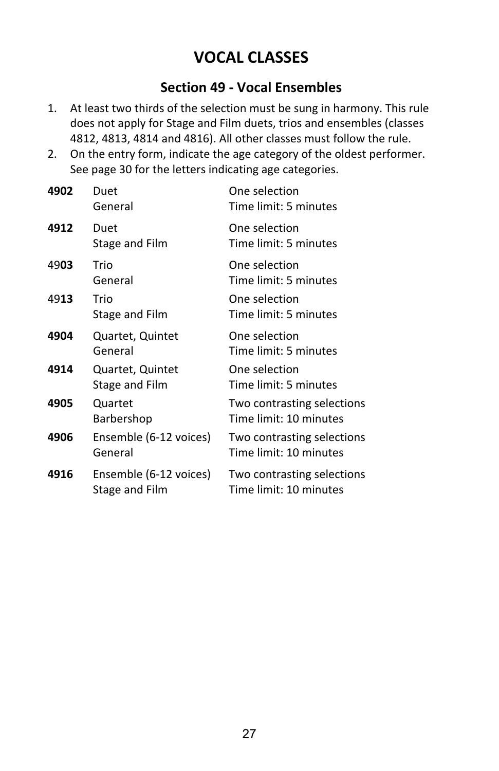### **Section 49 - Vocal Ensembles**

- 1. At least two thirds of the selection must be sung in harmony. This rule does not apply for Stage and Film duets, trios and ensembles (classes 4812, 4813, 4814 and 4816). All other classes must follow the rule.
- 2. On the entry form, indicate the age category of the oldest performer. See page 30 for the letters indicating age categories.

| 4902 | Duet<br>General                          | One selection<br>Time limit: 5 minutes               |
|------|------------------------------------------|------------------------------------------------------|
| 4912 | Duet<br>Stage and Film                   | One selection<br>Time limit: 5 minutes               |
| 4903 | Trio<br>General                          | One selection<br>Time limit: 5 minutes               |
| 4913 | Trio<br>Stage and Film                   | One selection<br>Time limit: 5 minutes               |
| 4904 | Quartet, Quintet<br>General              | One selection<br>Time limit: 5 minutes               |
| 4914 | Quartet, Quintet<br>Stage and Film       | One selection<br>Time limit: 5 minutes               |
| 4905 | Quartet<br>Barbershop                    | Two contrasting selections<br>Time limit: 10 minutes |
| 4906 | Ensemble (6-12 voices)<br>General        | Two contrasting selections<br>Time limit: 10 minutes |
| 4916 | Ensemble (6-12 voices)<br>Stage and Film | Two contrasting selections<br>Time limit: 10 minutes |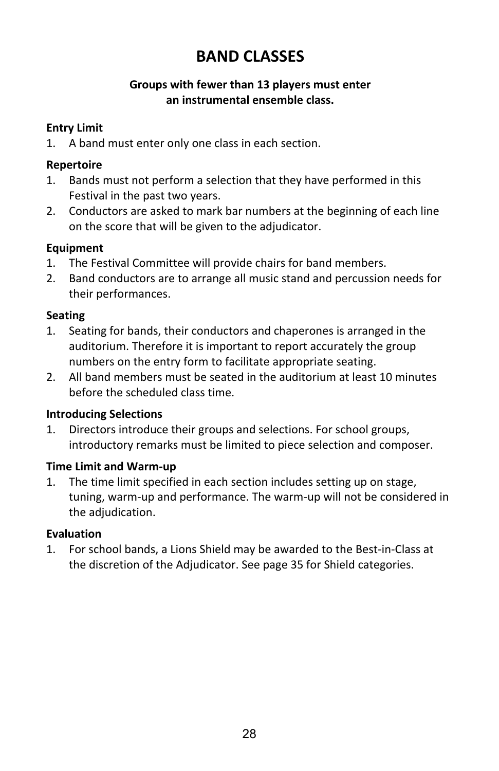## **BAND CLASSES**

#### **Groups with fewer than 13 players must enter an instrumental ensemble class.**

#### **Entry Limit**

1. A band must enter only one class in each section.

#### **Repertoire**

- 1. Bands must not perform a selection that they have performed in this Festival in the past two years.
- 2. Conductors are asked to mark bar numbers at the beginning of each line on the score that will be given to the adjudicator.

#### **Equipment**

- 1. The Festival Committee will provide chairs for band members.
- 2. Band conductors are to arrange all music stand and percussion needs for their performances.

#### **Seating**

- 1. Seating for bands, their conductors and chaperones is arranged in the auditorium. Therefore it is important to report accurately the group numbers on the entry form to facilitate appropriate seating.
- 2. All band members must be seated in the auditorium at least 10 minutes before the scheduled class time.

#### **Introducing Selections**

1. Directors introduce their groups and selections. For school groups, introductory remarks must be limited to piece selection and composer.

#### **Time Limit and Warm-up**

1. The time limit specified in each section includes setting up on stage, tuning, warm-up and performance. The warm-up will not be considered in the adjudication.

#### **Evaluation**

1. For school bands, a Lions Shield may be awarded to the Best-in-Class at the discretion of the Adjudicator. See page 35 for Shield categories.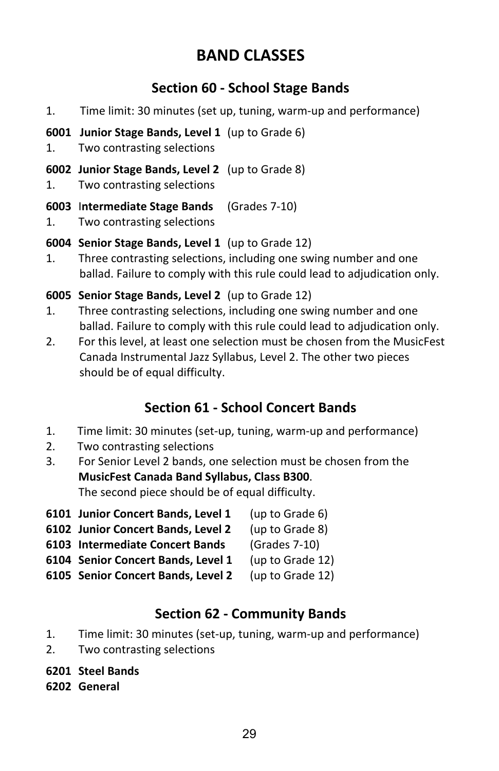## **BAND CLASSES**

## **Section 60 - School Stage Bands**

- 1. Time limit: 30 minutes (set up, tuning, warm-up and performance)
- **6001 Junior Stage Bands, Level 1** (up to Grade 6)
- 1. Two contrasting selections
- **6002 Junior Stage Bands, Level 2** (up to Grade 8)
- 1. Two contrasting selections
- **6003** I**ntermediate Stage Bands** (Grades 7-10)
- 1. Two contrasting selections

#### **6004 Senior Stage Bands, Level 1** (up to Grade 12)

1. Three contrasting selections, including one swing number and one ballad. Failure to comply with this rule could lead to adjudication only.

#### **6005 Senior Stage Bands, Level 2** (up to Grade 12)

- 1. Three contrasting selections, including one swing number and one ballad. Failure to comply with this rule could lead to adjudication only.
- 2. For this level, at least one selection must be chosen from the MusicFest Canada Instrumental Jazz Syllabus, Level 2. The other two pieces should be of equal difficulty.

## **Section 61 - School Concert Bands**

- 1. Time limit: 30 minutes (set-up, tuning, warm-up and performance)
- 2. Two contrasting selections
- 3. For Senior Level 2 bands, one selection must be chosen from the **MusicFest Canada Band Syllabus, Class B300**.

The second piece should be of equal difficulty.

- **6101 Junior Concert Bands, Level 1** (up to Grade 6) **6102 Junior Concert Bands, Level 2** (up to Grade 8) **6103 Intermediate Concert Bands** (Grades 7-10)
- **6104 Senior Concert Bands, Level 1** (up to Grade 12)
- **6105 Senior Concert Bands, Level 2** (up to Grade 12)

## **Section 62 - Community Bands**

- 1. Time limit: 30 minutes (set-up, tuning, warm-up and performance)
- 2. Two contrasting selections

**6201 Steel Bands**

**6202 General**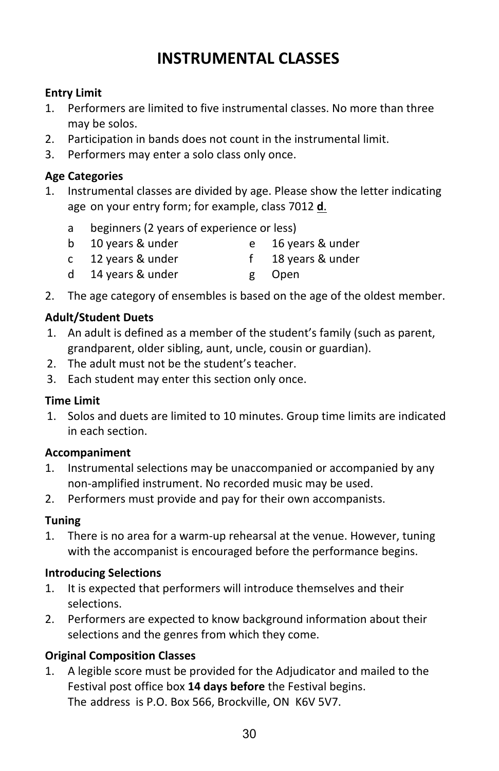#### **Entry Limit**

- 1. Performers are limited to five instrumental classes. No more than three may be solos.
- 2. Participation in bands does not count in the instrumental limit.
- 3. Performers may enter a solo class only once.

#### **Age Categories**

- 1. Instrumental classes are divided by age. Please show the letter indicating age on your entry form; for example, class 7012 **d**.
	- a beginners (2 years of experience or less)
	- b 10 years & under e 16 years & under
	- c 12 years & under f 18 years & under
	- d 14 years & under g Open
- 2. The age category of ensembles is based on the age of the oldest member.

#### **Adult/Student Duets**

- 1. An adult is defined as a member of the student's family (such as parent, grandparent, older sibling, aunt, uncle, cousin or guardian).
- 2. The adult must not be the student's teacher.
- 3. Each student may enter this section only once.

#### **Time Limit**

1. Solos and duets are limited to 10 minutes. Group time limits are indicated in each section.

#### **Accompaniment**

- 1. Instrumental selections may be unaccompanied or accompanied by any non-amplified instrument. No recorded music may be used.
- 2. Performers must provide and pay for their own accompanists.

#### **Tuning**

1. There is no area for a warm-up rehearsal at the venue. However, tuning with the accompanist is encouraged before the performance begins.

#### **Introducing Selections**

- 1. It is expected that performers will introduce themselves and their selections.
- 2. Performers are expected to know background information about their selections and the genres from which they come.

#### **Original Composition Classes**

1. A legible score must be provided for the Adjudicator and mailed to the Festival post office box **14 days before** the Festival begins. The address is P.O. Box 566, Brockville, ON K6V 5V7.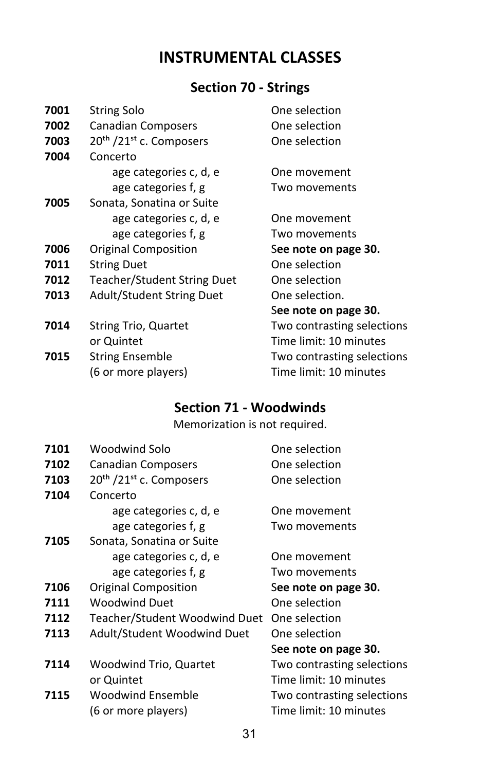## **Section 70 - Strings**

| 7001 | <b>String Solo</b>                              | One selection              |
|------|-------------------------------------------------|----------------------------|
| 7002 | Canadian Composers                              | One selection              |
| 7003 | 20 <sup>th</sup> /21 <sup>st</sup> c. Composers | One selection              |
| 7004 | Concerto                                        |                            |
|      | age categories c, d, e                          | One movement               |
|      | age categories f, g                             | Two movements              |
| 7005 | Sonata, Sonatina or Suite                       |                            |
|      | age categories c, d, e                          | One movement               |
|      | age categories f, g                             | Two movements              |
| 7006 | Original Composition                            | See note on page 30.       |
| 7011 | <b>String Duet</b>                              | One selection              |
| 7012 | <b>Teacher/Student String Duet</b>              | One selection              |
| 7013 | Adult/Student String Duet                       | One selection.             |
|      |                                                 | See note on page 30.       |
| 7014 | <b>String Trio, Quartet</b>                     | Two contrasting selections |
|      | or Quintet                                      | Time limit: 10 minutes     |
| 7015 | <b>String Ensemble</b>                          | Two contrasting selections |
|      | (6 or more players)                             | Time limit: 10 minutes     |
|      |                                                 |                            |

## **Section 71 - Woodwinds**

#### Memorization is not required.

| 7101 | Woodwind Solo                                   | One selection              |
|------|-------------------------------------------------|----------------------------|
| 7102 | Canadian Composers                              | One selection              |
| 7103 | 20 <sup>th</sup> /21 <sup>st</sup> c. Composers | One selection              |
| 7104 | Concerto                                        |                            |
|      | age categories c, d, e                          | One movement               |
|      | age categories f, g                             | Two movements              |
| 7105 | Sonata, Sonatina or Suite                       |                            |
|      | age categories c, d, e                          | One movement               |
|      | age categories f, g                             | Two movements              |
| 7106 | Original Composition                            | See note on page 30.       |
| 7111 | <b>Woodwind Duet</b>                            | One selection              |
| 7112 | Teacher/Student Woodwind Duet                   | One selection              |
| 7113 | Adult/Student Woodwind Duet                     | One selection              |
|      |                                                 | See note on page 30.       |
| 7114 | Woodwind Trio, Quartet                          | Two contrasting selections |
|      | or Quintet                                      | Time limit: 10 minutes     |
| 7115 | <b>Woodwind Ensemble</b>                        | Two contrasting selections |
|      | (6 or more players)                             | Time limit: 10 minutes     |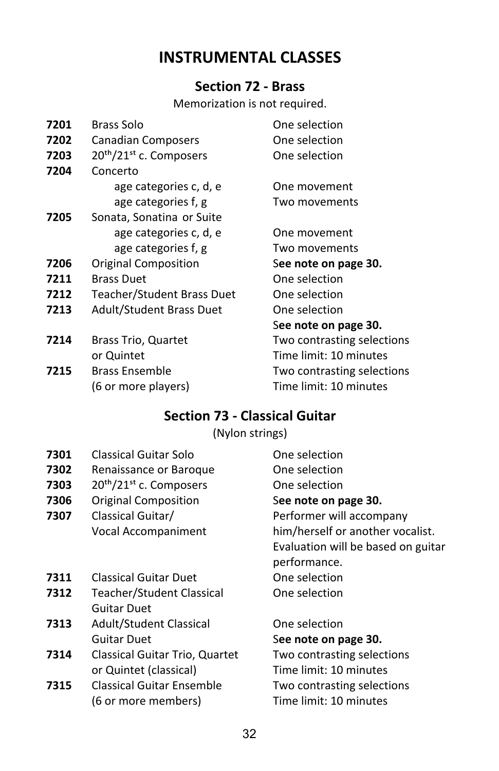#### **Section 72 - Brass**

Memorization is not required.

| 7201 | Brass Solo                                      | One selection              |
|------|-------------------------------------------------|----------------------------|
| 7202 | Canadian Composers                              | One selection              |
| 7203 | 20 <sup>th</sup> /21 <sup>st</sup> c. Composers | One selection              |
| 7204 | Concerto                                        |                            |
|      | age categories c, d, e                          | One movement               |
|      | age categories f, g                             | Two movements              |
| 7205 | Sonata, Sonatina or Suite                       |                            |
|      | age categories c, d, e                          | One movement               |
|      | age categories f, g                             | Two movements              |
| 7206 | <b>Original Composition</b>                     | See note on page 30.       |
| 7211 | <b>Brass Duet</b>                               | One selection              |
| 7212 | Teacher/Student Brass Duet                      | One selection              |
| 7213 | <b>Adult/Student Brass Duet</b>                 | One selection              |
|      |                                                 | See note on page 30.       |
| 7214 | <b>Brass Trio, Quartet</b>                      | Two contrasting selections |
|      | or Quintet                                      | Time limit: 10 minutes     |
| 7215 | <b>Brass Ensemble</b>                           | Two contrasting selections |
|      | (6 or more players)                             | Time limit: 10 minutes     |
|      |                                                 |                            |

### **Section 73 - Classical Guitar**

(Nylon strings)

- **7301** Classical Guitar Solo **Classical Guitar Solo** Che selection
- **7302** Renaissance or Baroque **One selection**
- **7303** 20<sup>th</sup>/21<sup>st</sup> c. Composers One selection
- **7306** Original Composition See note on page 30.
- **7307** Classical Guitar/ **Performer will accompany**
- **7311** Classical Guitar Duet **One selection**
- **7312** Teacher/Student Classical One selection Guitar Duet
- **7313** Adult/Student Classical **One selection** Guitar Duet See note on page 30.
- **7314** Classical Guitar Trio, Quartet Two contrasting selections or Quintet (classical) Time limit: 10 minutes
- **7315** Classical Guitar Ensemble Two contrasting selections (6 or more members) Time limit: 10 minutes
- Vocal Accompaniment him/herself or another vocalist. Evaluation will be based on guitar performance.
	-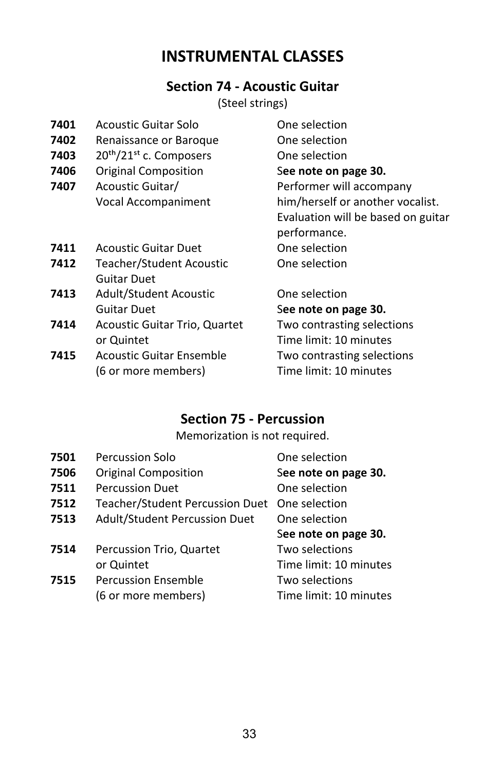### **Section 74 - Acoustic Guitar**

(Steel strings)

| 7401<br>7402<br>7403<br>7406<br>7407 | Acoustic Guitar Solo<br>Renaissance or Baroque<br>20 <sup>th</sup> /21 <sup>st</sup> c. Composers<br>Original Composition<br>Acoustic Guitar/<br>Vocal Accompaniment | One selection<br>One selection<br>One selection<br>See note on page 30.<br>Performer will accompany<br>him/herself or another vocalist. |
|--------------------------------------|----------------------------------------------------------------------------------------------------------------------------------------------------------------------|-----------------------------------------------------------------------------------------------------------------------------------------|
|                                      |                                                                                                                                                                      | Evaluation will be based on guitar<br>performance.                                                                                      |
| 7411                                 | <b>Acoustic Guitar Duet</b>                                                                                                                                          | One selection                                                                                                                           |
| 7412                                 | Teacher/Student Acoustic<br>Guitar Duet                                                                                                                              | One selection                                                                                                                           |
| 7413                                 | Adult/Student Acoustic<br>Guitar Duet                                                                                                                                | One selection<br>See note on page 30.                                                                                                   |
| 7414                                 | Acoustic Guitar Trio, Quartet<br>or Quintet                                                                                                                          | Two contrasting selections<br>Time limit: 10 minutes                                                                                    |
| 7415                                 | Acoustic Guitar Ensemble<br>(6 or more members)                                                                                                                      | Two contrasting selections<br>Time limit: 10 minutes                                                                                    |

### **Section 75 - Percussion**

Memorization is not required.

| 7501 | Percussion Solo                 | One selection          |
|------|---------------------------------|------------------------|
| 7506 | <b>Original Composition</b>     | See note on page 30.   |
| 7511 | <b>Percussion Duet</b>          | One selection          |
| 7512 | Teacher/Student Percussion Duet | One selection          |
| 7513 | Adult/Student Percussion Duet   | One selection          |
|      |                                 | See note on page 30.   |
| 7514 | Percussion Trio, Quartet        | Two selections         |
|      | or Quintet                      | Time limit: 10 minutes |
| 7515 | <b>Percussion Ensemble</b>      | Two selections         |
|      |                                 |                        |
|      | (6 or more members)             | Time limit: 10 minutes |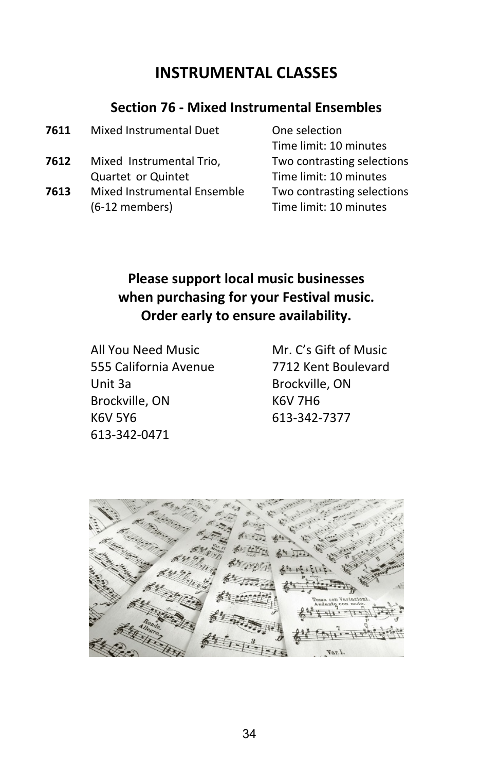### **Section 76 - Mixed Instrumental Ensembles**

| Mixed Instrumental Duet                       | One selection                                        |
|-----------------------------------------------|------------------------------------------------------|
|                                               | Time limit: 10 minutes                               |
| Mixed Instrumental Trio,                      | Two contrasting selections                           |
| Quartet or Quintet                            | Time limit: 10 minutes                               |
| Mixed Instrumental Ensemble<br>(6-12 members) | Two contrasting selections<br>Time limit: 10 minutes |
|                                               |                                                      |

## **Please support local music businesses when purchasing for your Festival music. Order early to ensure availability.**

 All You Need Music Mr. C's Gift of Music 555 California Avenue 7712 Kent Boulevard Unit 3a **Brockville, ON** Brockville, ON K6V 7H6 K6V 5Y6 613-342-7377 613-342-0471

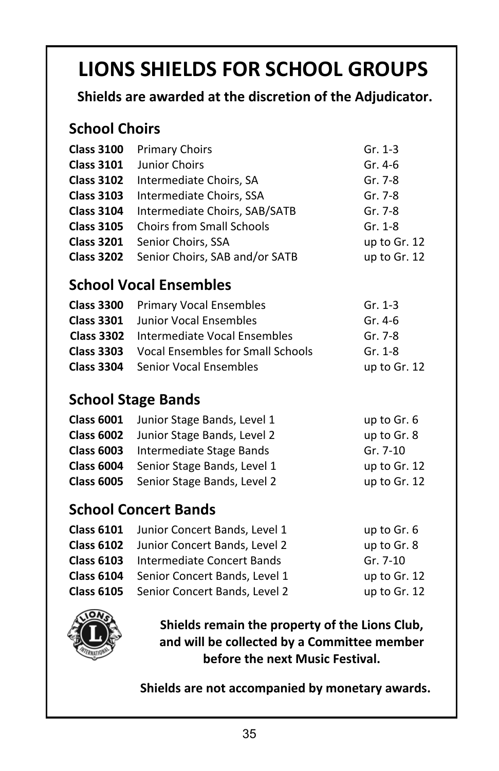# **LIONS SHIELDS FOR SCHOOL GROUPS**

 **Shields are awarded at the discretion of the Adjudicator.**

## **School Choirs**

| <b>Class 3100</b> | <b>Primary Choirs</b>                       | Gr. 1-3      |
|-------------------|---------------------------------------------|--------------|
| <b>Class 3101</b> | Junior Choirs                               | Gr. 4-6      |
| <b>Class 3102</b> | Intermediate Choirs, SA                     | Gr. 7-8      |
| <b>Class 3103</b> | Intermediate Choirs, SSA                    | Gr. 7-8      |
| <b>Class 3104</b> | Intermediate Choirs, SAB/SATB               | Gr. 7-8      |
|                   | <b>Class 3105</b> Choirs from Small Schools | Gr. 1-8      |
| <b>Class 3201</b> | Senior Choirs, SSA                          | up to Gr. 12 |
|                   | Class 3202 Senior Choirs, SAB and/or SATB   | up to Gr. 12 |
|                   |                                             |              |

## **School Vocal Ensembles**

| <b>Class 3300</b> Primary Vocal Ensembles           | Gr. $1-3$    |
|-----------------------------------------------------|--------------|
| <b>Class 3301</b> Junior Vocal Ensembles            | Gr. 4-6      |
| <b>Class 3302</b> Intermediate Vocal Ensembles      | Gr. 7-8      |
| <b>Class 3303</b> Vocal Ensembles for Small Schools | Gr. 1-8      |
| <b>Class 3304</b> Senior Vocal Ensembles            | up to Gr. 12 |

## **School Stage Bands**

| Class 6001 Junior Stage Bands, Level 1        | up to Gr. 6    |
|-----------------------------------------------|----------------|
| <b>Class 6002</b> Junior Stage Bands, Level 2 | up to Gr. 8    |
| <b>Class 6003</b> Intermediate Stage Bands    | Gr. 7-10       |
| Class 6004 Senior Stage Bands, Level 1        | up to $Gr. 12$ |
| <b>Class 6005</b> Senior Stage Bands, Level 2 | up to Gr. 12   |

## **School Concert Bands**

| up to Gr. 6                                                                                                                                                                                                                                       |
|---------------------------------------------------------------------------------------------------------------------------------------------------------------------------------------------------------------------------------------------------|
| up to Gr. 8                                                                                                                                                                                                                                       |
| $Gr. 7-10$                                                                                                                                                                                                                                        |
| up to Gr. 12                                                                                                                                                                                                                                      |
| up to Gr. 12                                                                                                                                                                                                                                      |
| <b>Class 6101</b> Junior Concert Bands, Level 1<br>Class 6102 Junior Concert Bands, Level 2<br><b>Class 6103</b> Intermediate Concert Bands<br><b>Class 6104</b> Senior Concert Bands, Level 1<br><b>Class 6105</b> Senior Concert Bands, Level 2 |



**Shields remain the property of the Lions Club, and will be collected by a Committee member before the next Music Festival.**

**Shields are not accompanied by monetary awards.**